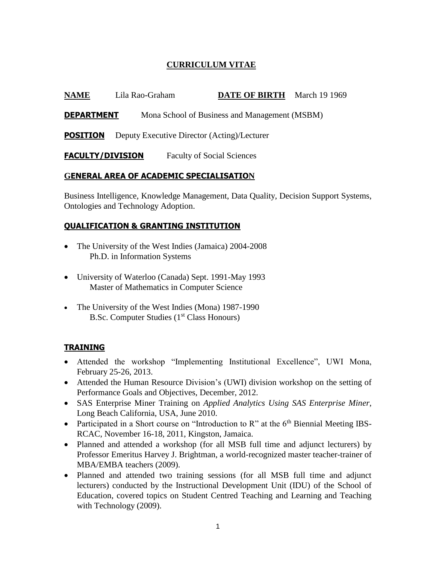# **CURRICULUM VITAE**

| <b>NAME</b> | Lila Rao-Graham | <b>DATE OF BIRTH</b> March 19 1969 |  |
|-------------|-----------------|------------------------------------|--|
|             |                 |                                    |  |

**DEPARTMENT** Mona School of Business and Management (MSBM)

**POSITION** Deputy Executive Director (Acting)/Lecturer

**FACULTY/DIVISION** Faculty of Social Sciences

## **GENERAL AREA OF ACADEMIC SPECIALISATION**

Business Intelligence, Knowledge Management, Data Quality, Decision Support Systems, Ontologies and Technology Adoption.

## **QUALIFICATION & GRANTING INSTITUTION**

- The University of the West Indies (Jamaica) 2004-2008 Ph.D. in Information Systems
- University of Waterloo (Canada) Sept. 1991-May 1993 Master of Mathematics in Computer Science
- The University of the West Indies (Mona) 1987-1990 B.Sc. Computer Studies (1<sup>st</sup> Class Honours)

## **TRAINING**

- Attended the workshop "Implementing Institutional Excellence", UWI Mona, February 25-26, 2013.
- Attended the Human Resource Division's (UWI) division workshop on the setting of Performance Goals and Objectives, December, 2012.
- SAS Enterprise Miner Training on *Applied Analytics Using SAS Enterprise Miner*, Long Beach California, USA, June 2010.
- Participated in a Short course on "Introduction to  $R$ " at the  $6<sup>th</sup>$  Biennial Meeting IBS-RCAC, November 16-18, 2011, Kingston, Jamaica.
- Planned and attended a workshop (for all MSB full time and adjunct lecturers) by Professor Emeritus Harvey J. Brightman, a world-recognized master teacher-trainer of MBA/EMBA teachers (2009).
- Planned and attended two training sessions (for all MSB full time and adjunct lecturers) conducted by the Instructional Development Unit (IDU) of the School of Education, covered topics on Student Centred Teaching and Learning and Teaching with Technology (2009).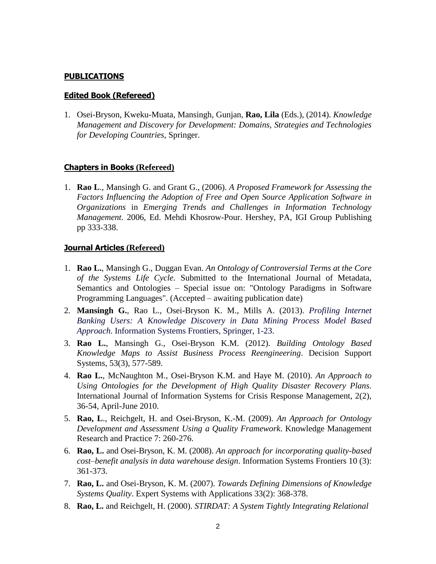### **PUBLICATIONS**

#### **Edited Book (Refereed)**

1. Osei-Bryson, Kweku-Muata, Mansingh, Gunjan, **Rao, Lila** (Eds.), (2014). *Knowledge Management and Discovery for Development: Domains, Strategies and Technologies for Developing Countries*, Springer.

### **Chapters in Books (Refereed)**

1. **Rao L**., Mansingh G. and Grant G., (2006). *A Proposed Framework for Assessing the Factors Influencing the Adoption of Free and Open Source Application Software in Organizations* in *Emerging Trends and Challenges in Information Technology Management*. 2006, Ed. Mehdi Khosrow-Pour. Hershey, PA, IGI Group Publishing pp 333-338.

#### **Journal Articles (Refereed)**

- 1. **Rao L.**, Mansingh G., Duggan Evan. *An Ontology of Controversial Terms at the Core of the Systems Life Cycle.* Submitted to the International Journal of Metadata, Semantics and Ontologies – Special issue on: "Ontology Paradigms in Software Programming Languages". (Accepted – awaiting publication date)
- 2. **Mansingh G.**, Rao L., Osei-Bryson K. M., Mills A. (2013). *Profiling Internet Banking Users: A Knowledge Discovery in Data Mining Process Model Based Approach*. Information Systems Frontiers, Springer, 1-23.
- 3. **Rao L.**, Mansingh G., Osei-Bryson K.M. (2012). *Building Ontology Based Knowledge Maps to Assist Business Process Reengineering*. Decision Support Systems, 53(3), 577-589.
- 4. **Rao L.**, McNaughton M., Osei-Bryson K.M. and Haye M. (2010). *An Approach to Using Ontologies for the Development of High Quality Disaster Recovery Plans.* International Journal of Information Systems for Crisis Response Management, 2(2), 36-54, April-June 2010.
- 5. **Rao, L**., Reichgelt, H. and Osei-Bryson, K.-M. (2009). *An Approach for Ontology Development and Assessment Using a Quality Framework*. Knowledge Management Research and Practice 7: 260-276.
- 6. **[Rao,](http://www.informatik.uni-trier.de/~ley/db/indices/a-tree/r/Rao:Lila.html) L.** and Osei-Bryson, K. M. (2008). *An approach for incorporating quality-based cost–benefit analysis in data warehouse design*. Information Systems Frontiers 10 (3): 361-373.
- 7. **[Rao,](http://www.informatik.uni-trier.de/~ley/db/indices/a-tree/r/Rao:Lila.html) L.** and Osei-Bryson, K. M. (2007). *Towards Defining Dimensions of Knowledge Systems Quality*. [Expert Systems with Applications 33\(](http://www.informatik.uni-trier.de/~ley/db/journals/eswa/eswa33.html#RaoO07)2): 368-378.
- 8. **Rao, L.** and Reichgelt, H. (2000). *STIRDAT: A System Tightly Integrating Relational*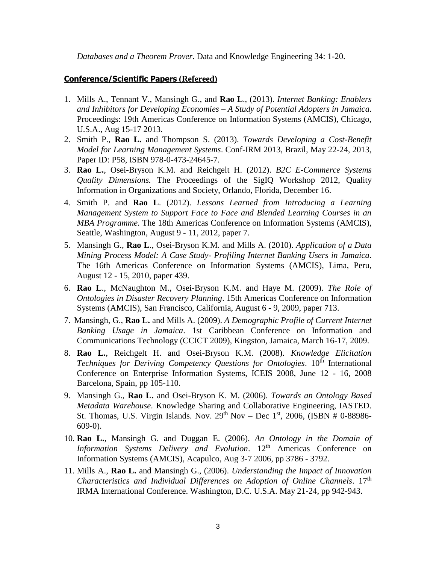*Databases and a Theorem Prover*. Data and Knowledge Engineering 34: 1-20.

#### **Conference/Scientific Papers (Refereed)**

- 1. Mills A., Tennant V., Mansingh G., and **Rao L**., (2013). *Internet Banking: Enablers and Inhibitors for Developing Economies – A Study of Potential Adopters in Jamaica*. Proceedings: 19th Americas Conference on Information Systems (AMCIS), Chicago, U.S.A., Aug 15-17 2013.
- 2. Smith P., **Rao L.** and Thompson S. (2013). *Towards Developing a Cost-Benefit Model for Learning Management Systems*. Conf-IRM 2013, Brazil, May 22-24, 2013, Paper ID: P58, ISBN 978-0-473-24645-7.
- 3. **Rao L.**, Osei-Bryson K.M. and Reichgelt H. (2012). *B2C E-Commerce Systems Quality Dimensions.* The Proceedings of the SigIQ Workshop 2012, Quality Information in Organizations and Society, Orlando, Florida, December 16.
- 4. Smith P. and **Rao L**. (2012). *Lessons Learned from Introducing a Learning Management System to Support Face to Face and Blended Learning Courses in an MBA Programme*. The 18th Americas Conference on Information Systems (AMCIS), Seattle, Washington, August 9 - 11, 2012, paper 7.
- 5. Mansingh G., **Rao L**., Osei-Bryson K.M. and Mills A. (2010). *Application of a Data Mining Process Model: A Case Study- Profiling Internet Banking Users in Jamaica*. The 16th Americas Conference on Information Systems (AMCIS), Lima, Peru, August 12 - 15, 2010, paper 439.
- 6. **Rao L**., McNaughton M., Osei-Bryson K.M. and Haye M. (2009). *The Role of Ontologies in Disaster Recovery Planning*. 15th Americas Conference on Information Systems (AMCIS), San Francisco, California, August 6 - 9, 2009, paper 713.
- 7. Mansingh, G., **Rao L.** and Mills A. (2009). *A Demographic Profile of Current Internet Banking Usage in Jamaica*. 1st Caribbean Conference on Information and Communications Technology (CCICT 2009), Kingston, Jamaica, March 16-17, 2009.
- 8. **Rao L.**, Reichgelt H. and Osei-Bryson K.M. (2008). *Knowledge Elicitation Techniques for Deriving Competency Questions for Ontologies*. 10<sup>th</sup> International Conference on Enterprise Information Systems, ICEIS 2008, June 12 - 16, 2008 Barcelona, Spain, pp 105-110.
- 9. Mansingh G., **Rao L.** and Osei-Bryson K. M. (2006). *Towards an Ontology Based Metadata Warehouse*. Knowledge Sharing and Collaborative Engineering, IASTED. St. Thomas, U.S. Virgin Islands. Nov.  $29<sup>th</sup>$  Nov – Dec  $1<sup>st</sup>$ , 2006, (ISBN # 0-88986-609-0).
- 10. **Rao L.**, Mansingh G. and Duggan E. (2006). *An Ontology in the Domain of Information Systems Delivery and Evolution*. 12th Americas Conference on Information Systems (AMCIS), Acapulco, Aug 3-7 2006, pp 3786 - 3792.
- 11. Mills A., **Rao L.** and Mansingh G., (2006). *Understanding the Impact of Innovation Characteristics and Individual Differences on Adoption of Online Channels*. 17th IRMA International Conference. Washington, D.C. U.S.A. May 21-24, pp 942-943.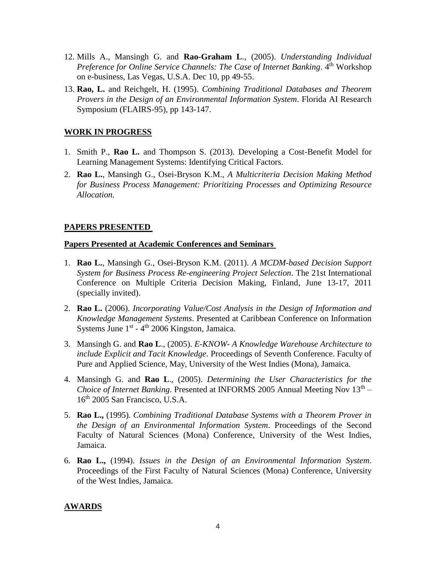- 12. Mills A., Mansingh G. and **Rao-Graham L**., (2005). *Understanding Individual*  Preference for Online Service Channels: The Case of Internet Banking. 4<sup>th</sup> Workshop on e-business, Las Vegas, U.S.A. Dec 10, pp 49-55.
- 13. **Rao, L.** and Reichgelt, H. (1995). *Combining Traditional Databases and Theorem Provers in the Design of an Environmental Information System*. Florida AI Research Symposium (FLAIRS-95), pp 143-147.

### **WORK IN PROGRESS**

- 1. Smith P., **Rao L.** and Thompson S. (2013). Developing a Cost-Benefit Model for Learning Management Systems: Identifying Critical Factors.
- 2. **Rao L.**, Mansingh G., Osei-Bryson K.M., *A Multicriteria Decision Making Method for Business Process Management: Prioritizing Processes and Optimizing Resource Allocation.*

### **PAPERS PRESENTED**

### **Papers Presented at Academic Conferences and Seminars**

- 1. **Rao L.**, Mansingh G., Osei-Bryson K.M. (2011). *A MCDM-based Decision Support System for Business Process Re-engineering Project Selection*. The 21st International Conference on Multiple Criteria Decision Making, Finland, June 13-17, 2011 (specially invited).
- 2. **Rao L.** (2006). *Incorporating Value/Cost Analysis in the Design of Information and Knowledge Management Systems*. Presented at Caribbean Conference on Information Systems June 1<sup>st</sup> - 4<sup>th</sup> 2006 Kingston, Jamaica.
- 3. Mansingh G. and **Rao L**., (2005). *E-KNOW- A Knowledge Warehouse Architecture to include Explicit and Tacit Knowledge*. Proceedings of Seventh Conference. Faculty of Pure and Applied Science, May, University of the West Indies (Mona), Jamaica.
- 4. Mansingh G. and **Rao L**., (2005). *Determining the User Characteristics for the Choice of Internet Banking*. Presented at INFORMS 2005 Annual Meeting Nov 13th – 16<sup>th</sup> 2005 San Francisco, U.S.A.
- 5. **Rao L.,** (1995). *Combining Traditional Database Systems with a Theorem Prover in the Design of an Environmental Information System*. Proceedings of the Second Faculty of Natural Sciences (Mona) Conference, University of the West Indies, Jamaica.
- 6. **Rao L.,** (1994). *Issues in the Design of an Environmental Information System*. Proceedings of the First Faculty of Natural Sciences (Mona) Conference, University of the West Indies, Jamaica.

## **AWARDS**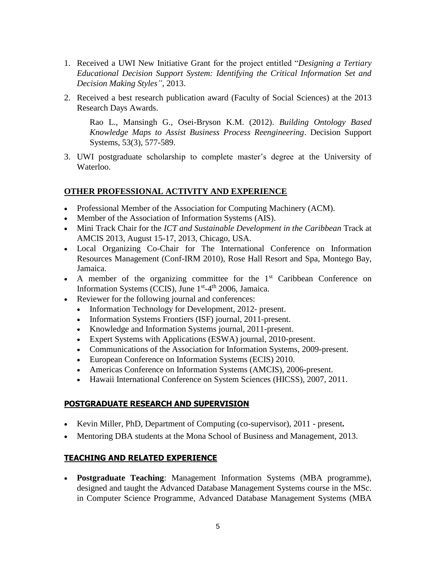- 1. Received a UWI New Initiative Grant for the project entitled "*Designing a Tertiary Educational Decision Support System: Identifying the Critical Information Set and Decision Making Styles"*, 2013.
- 2. Received a best research publication award (Faculty of Social Sciences) at the 2013 Research Days Awards.

Rao L., Mansingh G., Osei-Bryson K.M. (2012). *Building Ontology Based Knowledge Maps to Assist Business Process Reengineering*. Decision Support Systems, 53(3), 577-589.

3. UWI postgraduate scholarship to complete master's degree at the University of Waterloo.

### **OTHER PROFESSIONAL ACTIVITY AND EXPERIENCE**

- Professional Member of the Association for Computing Machinery (ACM).
- Member of the Association of Information Systems (AIS).
- Mini Track Chair for the *ICT and Sustainable Development in the Caribbean* Track at AMCIS 2013, August 15-17, 2013, Chicago, USA.
- Local Organizing Co-Chair for The International Conference on Information Resources Management (Conf-IRM 2010), Rose Hall Resort and Spa, Montego Bay, Jamaica.
- A member of the organizing committee for the  $1<sup>st</sup>$  Caribbean Conference on Information Systems (CCIS), June 1st-4<sup>th</sup> 2006, Jamaica.
- Reviewer for the following journal and conferences:
	- Information Technology for Development, 2012- present.
	- Information Systems Frontiers (ISF) journal, 2011-present.
	- Knowledge and Information Systems journal, 2011-present.
	- Expert Systems with Applications (ESWA) journal, 2010-present.
	- Communications of the Association for Information Systems, 2009-present.
	- European Conference on Information Systems (ECIS) 2010.
	- Americas Conference on Information Systems (AMCIS), 2006-present.
	- Hawaii International Conference on System Sciences (HICSS), 2007, 2011.

## **POSTGRADUATE RESEARCH AND SUPERVISION**

- Kevin Miller, PhD, Department of Computing (co-supervisor), 2011 present**.**
- Mentoring DBA students at the Mona School of Business and Management, 2013.

## **TEACHING AND RELATED EXPERIENCE**

 **Postgraduate Teaching**: Management Information Systems (MBA programme), designed and taught the Advanced Database Management Systems course in the MSc. in Computer Science Programme, Advanced Database Management Systems (MBA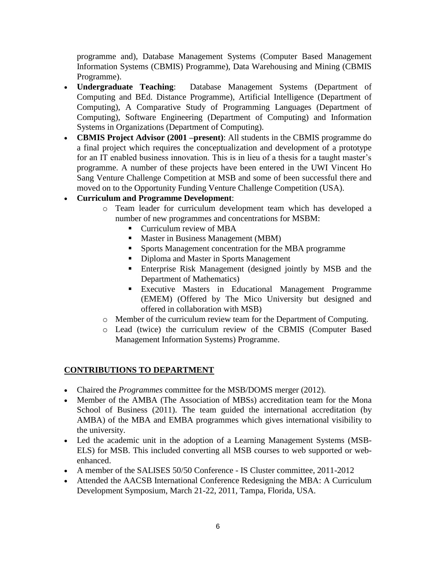programme and), Database Management Systems (Computer Based Management Information Systems (CBMIS) Programme), Data Warehousing and Mining (CBMIS Programme).

- **Undergraduate Teaching**: Database Management Systems (Department of Computing and BEd. Distance Programme), Artificial Intelligence (Department of Computing), A Comparative Study of Programming Languages (Department of Computing), Software Engineering (Department of Computing) and Information Systems in Organizations (Department of Computing).
- **CBMIS Project Advisor (2001 –present)**: All students in the CBMIS programme do a final project which requires the conceptualization and development of a prototype for an IT enabled business innovation. This is in lieu of a thesis for a taught master's programme. A number of these projects have been entered in the UWI Vincent Ho Sang Venture Challenge Competition at MSB and some of been successful there and moved on to the Opportunity Funding Venture Challenge Competition (USA).

# **Curriculum and Programme Development**:

- o Team leader for curriculum development team which has developed a number of new programmes and concentrations for MSBM:
	- **Curriculum review of MBA**
	- **Master in Business Management (MBM)**
	- **Sports Management concentration for the MBA programme**
	- Diploma and Master in Sports Management
	- Enterprise Risk Management (designed jointly by MSB and the Department of Mathematics)
	- Executive Masters in Educational Management Programme (EMEM) (Offered by The Mico University but designed and offered in collaboration with MSB)
- o Member of the curriculum review team for the Department of Computing.
- o Lead (twice) the curriculum review of the CBMIS (Computer Based Management Information Systems) Programme.

# **CONTRIBUTIONS TO DEPARTMENT**

- Chaired the *Programmes* committee for the MSB/DOMS merger (2012).
- Member of the AMBA (The Association of MBSs) accreditation team for the Mona School of Business (2011). The team guided the international accreditation (by AMBA) of the MBA and EMBA programmes which gives international visibility to the university.
- Led the academic unit in the adoption of a Learning Management Systems (MSB-ELS) for MSB. This included converting all MSB courses to web supported or webenhanced.
- A member of the SALISES 50/50 Conference IS Cluster committee, 2011-2012
- Attended the AACSB International Conference Redesigning the MBA: A Curriculum Development Symposium, March 21-22, 2011, Tampa, Florida, USA.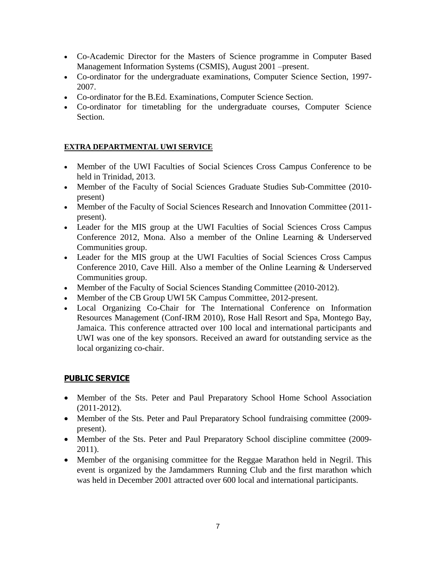- Co-Academic Director for the Masters of Science programme in Computer Based Management Information Systems (CSMIS), August 2001 –present.
- Co-ordinator for the undergraduate examinations, Computer Science Section, 1997- 2007.
- Co-ordinator for the B.Ed. Examinations, Computer Science Section.
- Co-ordinator for timetabling for the undergraduate courses, Computer Science Section.

# **EXTRA DEPARTMENTAL UWI SERVICE**

- Member of the UWI Faculties of Social Sciences Cross Campus Conference to be held in Trinidad, 2013.
- Member of the Faculty of Social Sciences Graduate Studies Sub-Committee (2010 present)
- Member of the Faculty of Social Sciences Research and Innovation Committee (2011 present).
- Leader for the MIS group at the UWI Faculties of Social Sciences Cross Campus Conference 2012, Mona. Also a member of the Online Learning & Underserved Communities group.
- Leader for the MIS group at the UWI Faculties of Social Sciences Cross Campus Conference 2010, Cave Hill. Also a member of the Online Learning & Underserved Communities group.
- Member of the Faculty of Social Sciences Standing Committee (2010-2012).
- Member of the CB Group UWI 5K Campus Committee, 2012-present.
- Local Organizing Co-Chair for The International Conference on Information Resources Management (Conf-IRM 2010), Rose Hall Resort and Spa, Montego Bay, Jamaica. This conference attracted over 100 local and international participants and UWI was one of the key sponsors. Received an award for outstanding service as the local organizing co-chair.

# **PUBLIC SERVICE**

- Member of the Sts. Peter and Paul Preparatory School Home School Association (2011-2012).
- Member of the Sts. Peter and Paul Preparatory School fundraising committee (2009present).
- Member of the Sts. Peter and Paul Preparatory School discipline committee (2009-2011).
- Member of the organising committee for the Reggae Marathon held in Negril. This event is organized by the Jamdammers Running Club and the first marathon which was held in December 2001 attracted over 600 local and international participants.